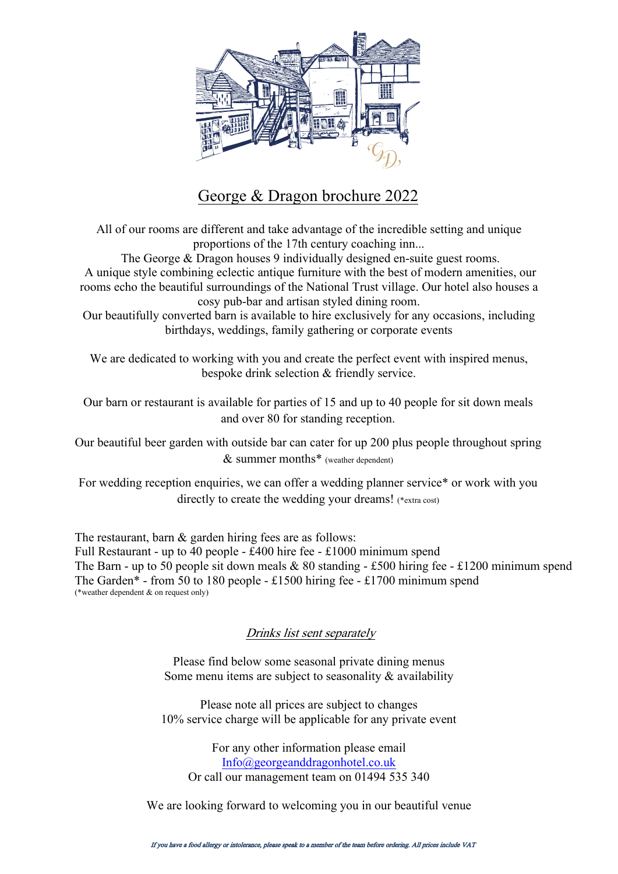

# George & Dragon brochure 2022

All of our rooms are different and take advantage of the incredible setting and unique proportions of the 17th century coaching inn...

The George & Dragon houses 9 individually designed en-suite guest rooms. A unique style combining eclectic antique furniture with the best of modern amenities, our rooms echo the beautiful surroundings of the National Trust village. Our hotel also houses a

cosy pub-bar and artisan styled dining room.

Our beautifully converted barn is available to hire exclusively for any occasions, including birthdays, weddings, family gathering or corporate events

We are dedicated to working with you and create the perfect event with inspired menus, bespoke drink selection & friendly service.

Our barn or restaurant is available for parties of 15 and up to 40 people for sit down meals and over 80 for standing reception.

Our beautiful beer garden with outside bar can cater for up 200 plus people throughout spring & summer months\* (weather dependent)

For wedding reception enquiries, we can offer a wedding planner service\* or work with you directly to create the wedding your dreams! (\*extra cost)

The restaurant, barn & garden hiring fees are as follows: Full Restaurant - up to 40 people - £400 hire fee - £1000 minimum spend The Barn - up to 50 people sit down meals  $\&$  80 standing - £500 hiring fee - £1200 minimum spend The Garden\* - from 50 to 180 people - £1500 hiring fee - £1700 minimum spend (\*weather dependent & on request only)

## Drinks list sent separately

Please find below some seasonal private dining menus Some menu items are subject to seasonality  $\&$  availability

Please note all prices are subject to changes 10% service charge will be applicable for any private event

For any other information please email [Info@georgeanddragonhotel.co.uk](mailto:Info@georgeanddragonhotel.co.uk) Or call our management team on 01494 535 340

We are looking forward to welcoming you in our beautiful venue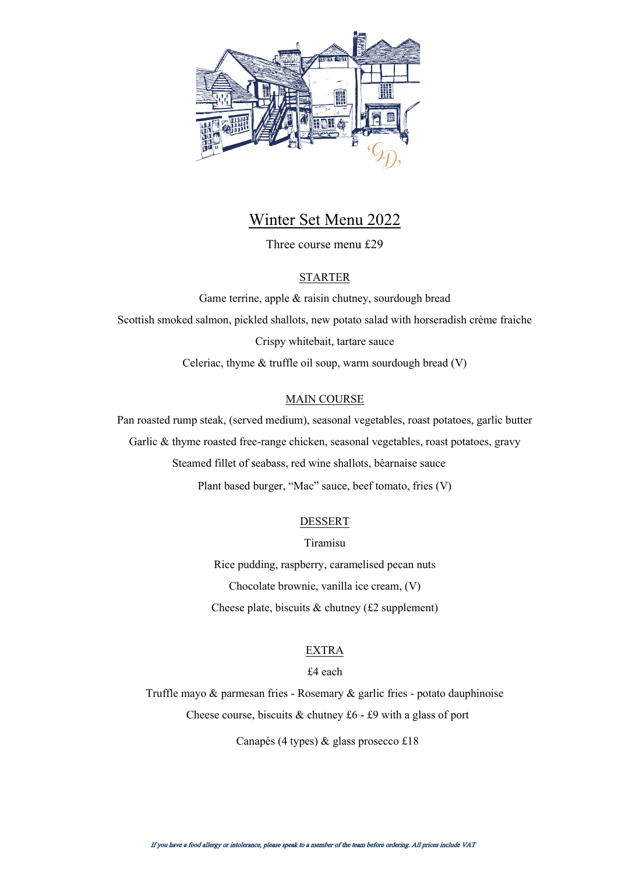

## Winter Set Menu 2022

Three course menu £29

#### STARTER

Game terrine, apple & raisin chutney, sourdough bread Scottish smoked salmon, pickled shallots, new potato salad with horseradish crème fraiche Crispy whitebait, tartare sauce Celeriac, thyme & truffle oil soup, warm sourdough bread (V)

#### MAIN COURSE

Pan roasted rump steak, (served medium), seasonal vegetables, roast potatoes, garlic butter Garlic & thyme roasted free-range chicken, seasonal vegetables, roast potatoes, gravy Steamed fillet of seabass, red wine shallots, béarnaise sauce Plant based burger, "Mac" sauce, beef tomato, fries (V)

#### DESSERT

Tiramisu Rice pudding, raspberry, caramelised pecan nuts Chocolate brownie, vanilla ice cream, (V) Cheese plate, biscuits  $\&$  chutney (£2 supplement)

#### EXTRA

#### £4 each

Truffle mayo & parmesan fries - Rosemary & garlic fries - potato dauphinoise Cheese course, biscuits  $&$  chutney £6 - £9 with a glass of port

Canapés (4 types) & glass prosecco £18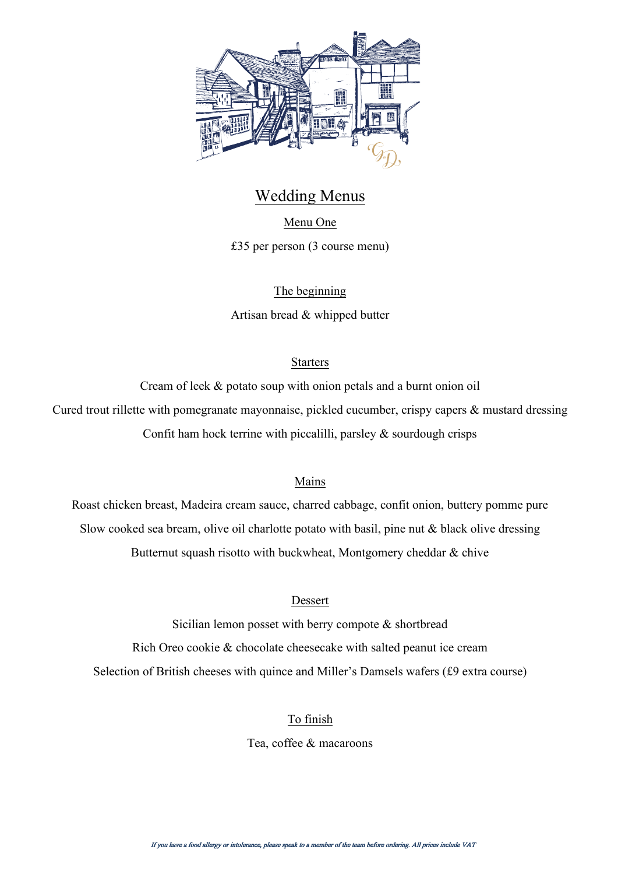

# Wedding Menus

Menu One

£35 per person (3 course menu)

The beginning

Artisan bread & whipped butter

## Starters

Cream of leek & potato soup with onion petals and a burnt onion oil Cured trout rillette with pomegranate mayonnaise, pickled cucumber, crispy capers & mustard dressing Confit ham hock terrine with piccalilli, parsley  $\&$  sourdough crisps

## Mains

Roast chicken breast, Madeira cream sauce, charred cabbage, confit onion, buttery pomme pure Slow cooked sea bream, olive oil charlotte potato with basil, pine nut  $\&$  black olive dressing Butternut squash risotto with buckwheat, Montgomery cheddar & chive

## Dessert

Sicilian lemon posset with berry compote & shortbread Rich Oreo cookie & chocolate cheesecake with salted peanut ice cream Selection of British cheeses with quince and Miller's Damsels wafers (£9 extra course)

## To finish

Tea, coffee & macaroons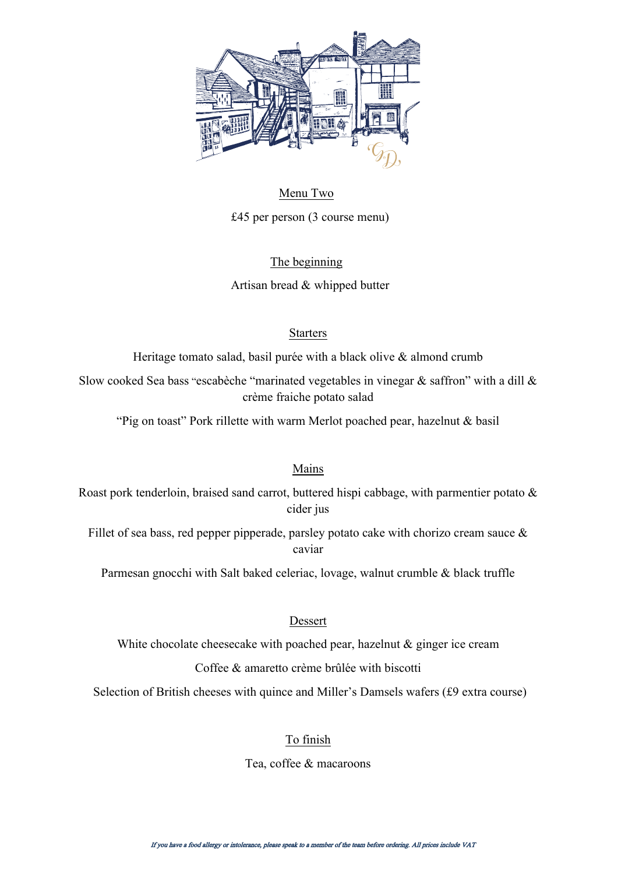

Menu Two £45 per person (3 course menu)

The beginning

Artisan bread & whipped butter

## Starters

Heritage tomato salad, basil purée with a black olive & almond crumb

Slow cooked Sea bass "escabèche "marinated vegetables in vinegar  $\&$  saffron" with a dill  $\&$ crème fraiche potato salad

"Pig on toast" Pork rillette with warm Merlot poached pear, hazelnut & basil

## Mains

Roast pork tenderloin, braised sand carrot, buttered hispi cabbage, with parmentier potato  $\&$ cider jus

Fillet of sea bass, red pepper pipperade, parsley potato cake with chorizo cream sauce  $\&$ caviar

Parmesan gnocchi with Salt baked celeriac, lovage, walnut crumble & black truffle

## Dessert

White chocolate cheesecake with poached pear, hazelnut  $\&$  ginger ice cream

Coffee & amaretto crème brûlée with biscotti

Selection of British cheeses with quince and Miller's Damsels wafers (£9 extra course)

## To finish

Tea, coffee & macaroons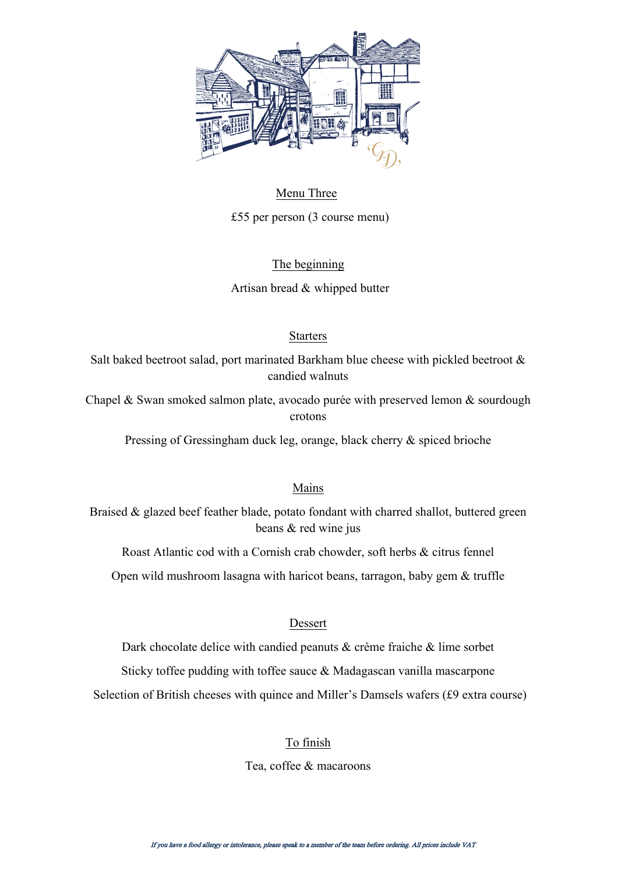

Menu Three £55 per person (3 course menu)

#### The beginning

Artisan bread & whipped butter

## Starters

Salt baked beetroot salad, port marinated Barkham blue cheese with pickled beetroot & candied walnuts

Chapel & Swan smoked salmon plate, avocado purée with preserved lemon & sourdough crotons

Pressing of Gressingham duck leg, orange, black cherry & spiced brioche

## Mains

Braised & glazed beef feather blade, potato fondant with charred shallot, buttered green beans & red wine jus

Roast Atlantic cod with a Cornish crab chowder, soft herbs & citrus fennel

Open wild mushroom lasagna with haricot beans, tarragon, baby gem & truffle

## Dessert

Dark chocolate delice with candied peanuts & crème fraiche & lime sorbet

Sticky toffee pudding with toffee sauce & Madagascan vanilla mascarpone

Selection of British cheeses with quince and Miller's Damsels wafers (£9 extra course)

## To finish

Tea, coffee & macaroons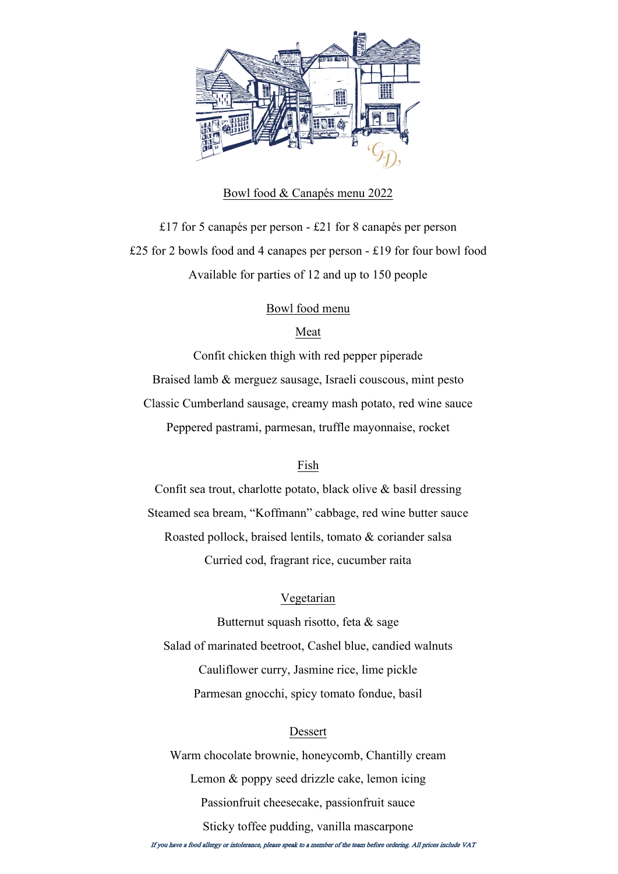

#### Bowl food & Canapés menu 2022

£17 for 5 canapés per person - £21 for 8 canapés per person £25 for 2 bowls food and 4 canapes per person - £19 for four bowl food Available for parties of 12 and up to 150 people

#### Bowl food menu

#### Meat

Confit chicken thigh with red pepper piperade Braised lamb & merguez sausage, Israeli couscous, mint pesto Classic Cumberland sausage, creamy mash potato, red wine sauce Peppered pastrami, parmesan, truffle mayonnaise, rocket

#### Fish

Confit sea trout, charlotte potato, black olive & basil dressing Steamed sea bream, "Koffmann" cabbage, red wine butter sauce Roasted pollock, braised lentils, tomato & coriander salsa Curried cod, fragrant rice, cucumber raita

#### Vegetarian

Butternut squash risotto, feta & sage Salad of marinated beetroot, Cashel blue, candied walnuts Cauliflower curry, Jasmine rice, lime pickle Parmesan gnocchi, spicy tomato fondue, basil

#### Dessert

Warm chocolate brownie, honeycomb, Chantilly cream Lemon & poppy seed drizzle cake, lemon icing Passionfruit cheesecake, passionfruit sauce Sticky toffee pudding, vanilla mascarpone

If you have a food allergy or intolerance, please speak to a member of the team before ordering. All prices include VAT